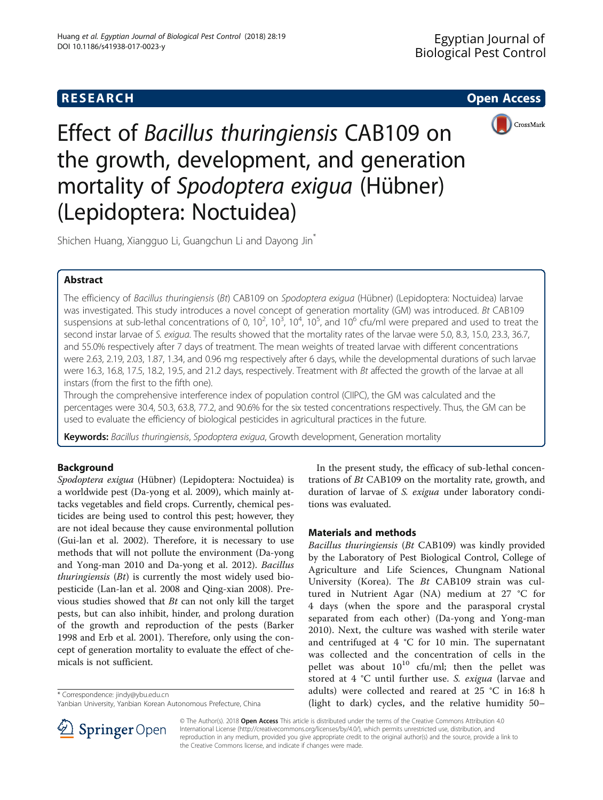

Effect of Bacillus thuringiensis CAB109 on the growth, development, and generation mortality of Spodoptera exigua (Hübner) (Lepidoptera: Noctuidea)

Shichen Huang, Xiangguo Li, Guangchun Li and Dayong Jin<sup>\*</sup>

# Abstract

The efficiency of Bacillus thuringiensis (Bt) CAB109 on Spodoptera exigua (Hübner) (Lepidoptera: Noctuidea) larvae was investigated. This study introduces a novel concept of generation mortality (GM) was introduced. Bt CAB109 suspensions at sub-lethal concentrations of 0,  $10^2$ ,  $10^3$ ,  $10^4$ ,  $10^5$ , and  $10^6$  cfu/ml were prepared and used to treat the second instar larvae of S. exigua. The results showed that the mortality rates of the larvae were 5.0, 8.3, 15.0, 23.3, 36.7, and 55.0% respectively after 7 days of treatment. The mean weights of treated larvae with different concentrations were 2.63, 2.19, 2.03, 1.87, 1.34, and 0.96 mg respectively after 6 days, while the developmental durations of such larvae were 16.3, 16.8, 17.5, 18.2, 19.5, and 21.2 days, respectively. Treatment with Bt affected the growth of the larvae at all instars (from the first to the fifth one).

Through the comprehensive interference index of population control (CIIPC), the GM was calculated and the percentages were 30.4, 50.3, 63.8, 77.2, and 90.6% for the six tested concentrations respectively. Thus, the GM can be used to evaluate the efficiency of biological pesticides in agricultural practices in the future.

Keywords: Bacillus thuringiensis, Spodoptera exigua, Growth development, Generation mortality

# Background

Spodoptera exigua (Hübner) (Lepidoptera: Noctuidea) is a worldwide pest (Da-yong et al. [2009\)](#page-4-0), which mainly attacks vegetables and field crops. Currently, chemical pesticides are being used to control this pest; however, they are not ideal because they cause environmental pollution (Gui-lan et al. [2002\)](#page-4-0). Therefore, it is necessary to use methods that will not pollute the environment (Da-yong and Yong-man [2010](#page-4-0) and Da-yong et al. [2012\)](#page-4-0). Bacillus *thuringiensis*  $(Bt)$  is currently the most widely used biopesticide (Lan-lan et al. [2008](#page-4-0) and Qing-xian [2008](#page-4-0)). Previous studies showed that Bt can not only kill the target pests, but can also inhibit, hinder, and prolong duration of the growth and reproduction of the pests (Barker [1998](#page-4-0) and Erb et al. [2001\)](#page-4-0). Therefore, only using the concept of generation mortality to evaluate the effect of chemicals is not sufficient.

In the present study, the efficacy of sub-lethal concentrations of Bt CAB109 on the mortality rate, growth, and duration of larvae of S. exigua under laboratory conditions was evaluated.

# Materials and methods

Bacillus thuringiensis (Bt CAB109) was kindly provided by the Laboratory of Pest Biological Control, College of Agriculture and Life Sciences, Chungnam National University (Korea). The Bt CAB109 strain was cultured in Nutrient Agar (NA) medium at 27 °C for 4 days (when the spore and the parasporal crystal separated from each other) (Da-yong and Yong-man [2010\)](#page-4-0). Next, the culture was washed with sterile water and centrifuged at 4 °C for 10 min. The supernatant was collected and the concentration of cells in the pellet was about  $10^{10}$  cfu/ml; then the pellet was stored at 4 °C until further use. S. exigua (larvae and adults) were collected and reared at 25 °C in 16:8 h Correspondence: [jindy@ybu.edu.cn](mailto:jindy@ybu.edu.cn)<br>
Yanbian University, Yanbian Korean Autonomous Prefecture, China (light to dark) cycles, and the relative humidity 50–



© The Author(s). 2018 Open Access This article is distributed under the terms of the Creative Commons Attribution 4.0 International License ([http://creativecommons.org/licenses/by/4.0/\)](http://creativecommons.org/licenses/by/4.0/), which permits unrestricted use, distribution, and reproduction in any medium, provided you give appropriate credit to the original author(s) and the source, provide a link to the Creative Commons license, and indicate if changes were made.

Yanbian University, Yanbian Korean Autonomous Prefecture, China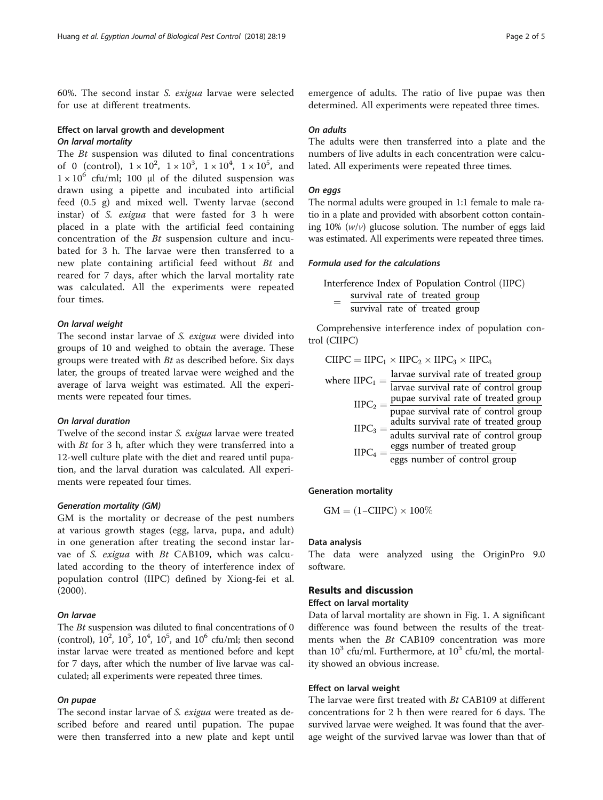60%. The second instar S. exigua larvae were selected for use at different treatments.

## Effect on larval growth and development On larval mortality

The Bt suspension was diluted to final concentrations of 0 (control),  $1 \times 10^2$ ,  $1 \times 10^3$ ,  $1 \times 10^4$ ,  $1 \times 10^5$ , and  $1 \times 10^6$  cfu/ml; 100 μl of the diluted suspension was drawn using a pipette and incubated into artificial feed (0.5 g) and mixed well. Twenty larvae (second instar) of S. exigua that were fasted for 3 h were placed in a plate with the artificial feed containing concentration of the Bt suspension culture and incubated for 3 h. The larvae were then transferred to a new plate containing artificial feed without Bt and reared for 7 days, after which the larval mortality rate was calculated. All the experiments were repeated four times.

## On larval weight

The second instar larvae of S. exigua were divided into groups of 10 and weighed to obtain the average. These groups were treated with  $Bt$  as described before. Six days later, the groups of treated larvae were weighed and the average of larva weight was estimated. All the experiments were repeated four times.

### On larval duration

Twelve of the second instar S. exigua larvae were treated with  $Bt$  for 3 h, after which they were transferred into a 12-well culture plate with the diet and reared until pupation, and the larval duration was calculated. All experiments were repeated four times.

#### Generation mortality (GM)

GM is the mortality or decrease of the pest numbers at various growth stages (egg, larva, pupa, and adult) in one generation after treating the second instar larvae of S. exigua with Bt CAB109, which was calculated according to the theory of interference index of population control (IIPC) defined by Xiong-fei et al. ([2000\)](#page-4-0).

### On larvae

The *Bt* suspension was diluted to final concentrations of 0 (control),  $10^2$ ,  $10^3$ ,  $10^4$ ,  $10^5$ , and  $10^6$  cfu/ml; then second instar larvae were treated as mentioned before and kept for 7 days, after which the number of live larvae was calculated; all experiments were repeated three times.

## On pupae

The second instar larvae of S. exigua were treated as described before and reared until pupation. The pupae were then transferred into a new plate and kept until

emergence of adults. The ratio of live pupae was then determined. All experiments were repeated three times.

#### On adults

The adults were then transferred into a plate and the numbers of live adults in each concentration were calculated. All experiments were repeated three times.

#### On eggs

The normal adults were grouped in 1:1 female to male ratio in a plate and provided with absorbent cotton containing  $10\%$  ( $w/v$ ) glucose solution. The number of eggs laid was estimated. All experiments were repeated three times.

### Formula used for the calculations

Interference Index of Population Control (IIPC) survival rate of treated group survival rate of treated group

Comprehensive interference index of population control (CIIPC)

|  | $CIIPC = IIPC_1 \times IIPC_2 \times IIPC_3 \times IIPC_4$                                      |
|--|-------------------------------------------------------------------------------------------------|
|  | larvae survival rate of treated group                                                           |
|  | where $IIPC_1 = \frac{1}{\text{larvae survival rate of control group}}$                         |
|  | $IIPC_2$ = pupae survival rate of treated group                                                 |
|  | pupae survival rate of control group                                                            |
|  | $IIPC_3 = \frac{adults$ survival rate of treated group<br>adults survival rate of control group |
|  |                                                                                                 |
|  | $IIPC_4 = \frac{eggs \text{ number of treated group}}{eggs \text{ number of control group}}$    |
|  |                                                                                                 |

#### Generation mortality

$$
GM = (1 - CIIPC) \times 100\%
$$

#### Data analysis

The data were analyzed using the OriginPro 9.0 software.

## Results and discussion

### Effect on larval mortality

Data of larval mortality are shown in Fig. [1.](#page-2-0) A significant difference was found between the results of the treatments when the Bt CAB109 concentration was more than  $10^3$  cfu/ml. Furthermore, at  $10^3$  cfu/ml, the mortality showed an obvious increase.

## Effect on larval weight

The larvae were first treated with Bt CAB109 at different concentrations for 2 h then were reared for 6 days. The survived larvae were weighed. It was found that the average weight of the survived larvae was lower than that of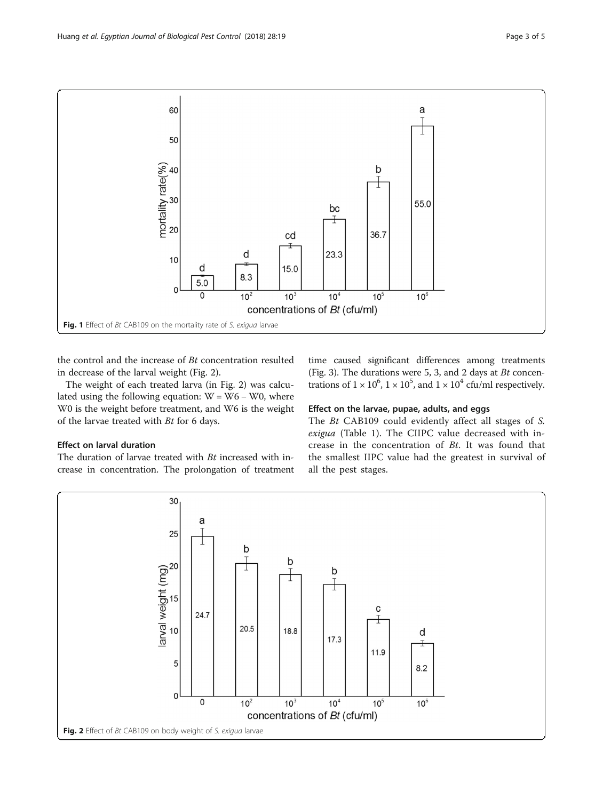<span id="page-2-0"></span>

the control and the increase of Bt concentration resulted in decrease of the larval weight (Fig. 2).

The weight of each treated larva (in Fig. 2) was calculated using the following equation:  $W = W6 - W0$ , where W0 is the weight before treatment, and W6 is the weight of the larvae treated with Bt for 6 days.

### Effect on larval duration

The duration of larvae treated with Bt increased with increase in concentration. The prolongation of treatment time caused significant differences among treatments (Fig. [3\)](#page-3-0). The durations were 5, 3, and 2 days at Bt concentrations of  $1 \times 10^6$ ,  $1 \times 10^5$ , and  $1 \times 10^4$  cfu/ml respectively.

## Effect on the larvae, pupae, adults, and eggs

The Bt CAB109 could evidently affect all stages of S. exigua (Table [1\)](#page-3-0). The CIIPC value decreased with increase in the concentration of Bt. It was found that the smallest IIPC value had the greatest in survival of all the pest stages.

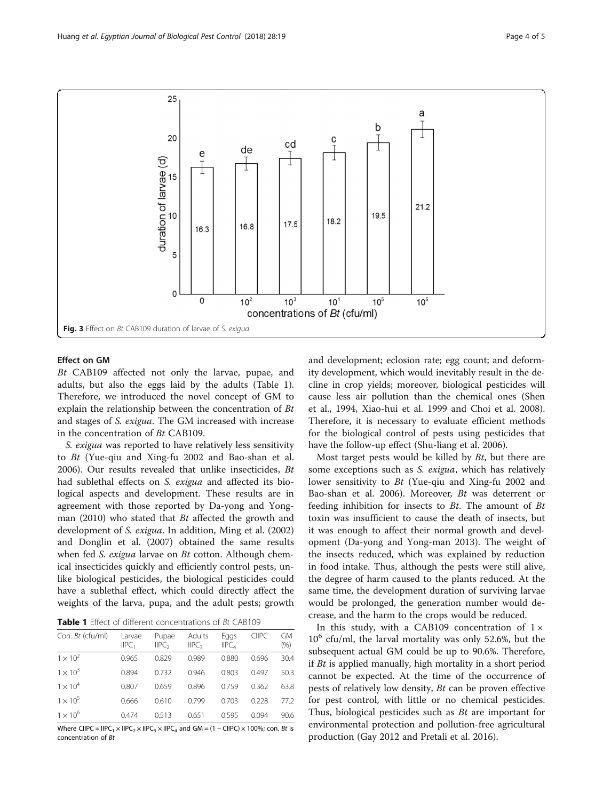<span id="page-3-0"></span>

## Effect on GM

Bt CAB109 affected not only the larvae, pupae, and adults, but also the eggs laid by the adults (Table 1). Therefore, we introduced the novel concept of GM to explain the relationship between the concentration of Bt and stages of S. exigua. The GM increased with increase in the concentration of Bt CAB109.

S. exigua was reported to have relatively less sensitivity to Bt (Yue-qiu and Xing-fu [2002](#page-4-0) and Bao-shan et al. [2006](#page-4-0)). Our results revealed that unlike insecticides, Bt had sublethal effects on S. exigua and affected its biological aspects and development. These results are in agreement with those reported by Da-yong and Yongman ([2010](#page-4-0)) who stated that Bt affected the growth and development of S. exigua. In addition, Ming et al. ([2002](#page-4-0)) and Donglin et al. [\(2007\)](#page-4-0) obtained the same results when fed S. exigua larvae on Bt cotton. Although chemical insecticides quickly and efficiently control pests, unlike biological pesticides, the biological pesticides could have a sublethal effect, which could directly affect the weights of the larva, pupa, and the adult pests; growth

Table 1 Effect of different concentrations of Bt CAB109

| Con. Bt (cfu/ml) | Larvae<br>IIPC <sub>1</sub> | Pupae<br>IIPC <sub>2</sub> | Adults<br>IIPC <sub>3</sub> | Eggs<br>HPC <sub>A</sub> | <b>CIIPC</b> | GM<br>$(\% )$ |
|------------------|-----------------------------|----------------------------|-----------------------------|--------------------------|--------------|---------------|
| $1 \times 10^2$  | 0.965                       | 0.829                      | 0.989                       | 0.880                    | 0.696        | 30.4          |
| $1 \times 10^3$  | 0.894                       | 0732                       | 0.946                       | 0.803                    | 0497         | 50.3          |
| $1 \times 10^4$  | 0.807                       | 0.659                      | 0.896                       | 0.759                    | 0.362        | 63.8          |
| $1 \times 10^5$  | 0.666                       | 0.610                      | 0.799                       | 0.703                    | 0.228        | 77.2          |
| $1 \times 10^6$  | 0.474                       | 0513                       | 0.651                       | 0.595                    | 0.094        | 90.6          |

Where CIIPC = IIPC<sub>1</sub> × IIPC<sub>2</sub> × IIPC<sub>3</sub> × IIPC<sub>4</sub> and GM = (1 – CIIPC) × 100%; con. Bt is concentration of Bt

and development; eclosion rate; egg count; and deformity development, which would inevitably result in the decline in crop yields; moreover, biological pesticides will cause less air pollution than the chemical ones (Shen et al., [1994](#page-4-0), Xiao-hui et al. [1999](#page-4-0) and Choi et al. [2008](#page-4-0)). Therefore, it is necessary to evaluate efficient methods for the biological control of pests using pesticides that have the follow-up effect (Shu-liang et al. [2006](#page-4-0)).

Most target pests would be killed by Bt, but there are some exceptions such as *S. exigua*, which has relatively lower sensitivity to Bt (Yue-qiu and Xing-fu [2002](#page-4-0) and Bao-shan et al. [2006\)](#page-4-0). Moreover, Bt was deterrent or feeding inhibition for insects to  $Bt$ . The amount of  $Bt$ toxin was insufficient to cause the death of insects, but it was enough to affect their normal growth and development (Da-yong and Yong-man [2013](#page-4-0)). The weight of the insects reduced, which was explained by reduction in food intake. Thus, although the pests were still alive, the degree of harm caused to the plants reduced. At the same time, the development duration of surviving larvae would be prolonged, the generation number would decrease, and the harm to the crops would be reduced.

In this study, with a CAB109 concentration of  $1 \times$  $10^6$  cfu/ml, the larval mortality was only 52.6%, but the subsequent actual GM could be up to 90.6%. Therefore, if Bt is applied manually, high mortality in a short period cannot be expected. At the time of the occurrence of pests of relatively low density, Bt can be proven effective for pest control, with little or no chemical pesticides. Thus, biological pesticides such as  $Bt$  are important for environmental protection and pollution-free agricultural production (Gay [2012](#page-4-0) and Pretali et al. [2016\)](#page-4-0).